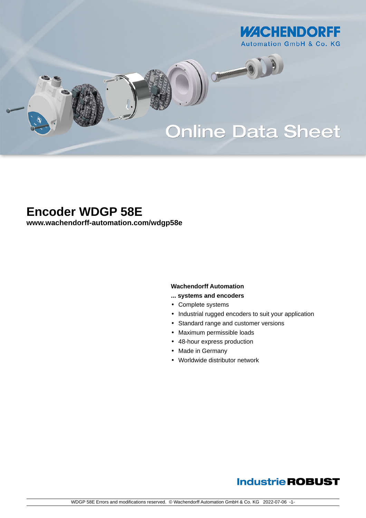

# **Online Data Sheet**

O

## **Encoder WDGP 58E**

**[www.wachendorff-automation.com/wdgp58e](https://www.wachendorff-automation.com/wdgp58e)**

#### **Wachendorff Automation**

- **... systems and encoders**
- Complete systems
- Industrial rugged encoders to suit your application
- Standard range and customer versions
- Maximum permissible loads
- 48-hour express production
- Made in Germany
- Worldwide distributor network

### **Industrie ROBUST**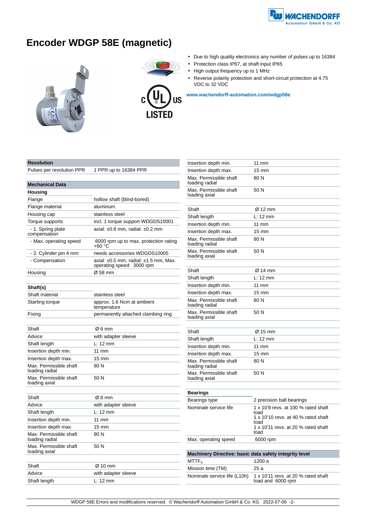

### **Encoder WDGP 58E (magnetic)**





- Due to high quality electronics any number of pulses up to 16384
- Protection class IP67, at shaft input IP65
- High output frequency up to 1 MHz
- Reverse polarity protection and short-circuit protection at 4.75 VDC to 32 VDC

**[www.wachendorff-automation.com/wdgp58e](https://www.wachendorff-automation.com/wdgp58e)**

#### **Resolution**

Pulses per revolution PPR 1 PPR up to 16384 PPR

| <b>Mechanical Data</b>                   |                                                                              |  |
|------------------------------------------|------------------------------------------------------------------------------|--|
| Housing                                  |                                                                              |  |
| Flange                                   | hollow shaft (blind-bored)                                                   |  |
| Flange material                          | aluminum                                                                     |  |
| Housing cap                              | stainless steel                                                              |  |
| Torque supports                          | incl. 1 torque support WDGDS10001                                            |  |
| - 1. Spring plate<br>compensation        | axial: $\pm 0.8$ mm, radial: $\pm 0.2$ mm                                    |  |
| - Max. operating speed                   | 6000 rpm up to max. protection rating<br>+60 °C                              |  |
| - 2. Cylinder pin 4 mm                   | needs accessories WDGDS10005                                                 |  |
| - Compensation                           | axial: $\pm 0.5$ mm, radial: $\pm 1.5$ mm, Max.<br>operating speed: 3000 rpm |  |
| Housing                                  | Ø 58 mm                                                                      |  |
|                                          |                                                                              |  |
| Shaft(s)                                 |                                                                              |  |
| Shaft material                           | stainless steel                                                              |  |
| Starting torque                          | approx. 1.6 Ncm at ambient<br>temperature                                    |  |
| Fixing                                   | permanently attached clambing ring                                           |  |
|                                          |                                                                              |  |
| Shaft                                    | Ø6 mm                                                                        |  |
| Advice                                   | with adapter sleeve                                                          |  |
| Shaft length                             | $L: 12 \text{ mm}$                                                           |  |
| Insertion depth min.                     | $11$ mm                                                                      |  |
| Insertion depth max.                     | $15 \text{ mm}$                                                              |  |
| Max. Permissible shaft<br>loading radial | 80 N                                                                         |  |
| Max. Permissible shaft                   | 50 N                                                                         |  |
| loading axial                            |                                                                              |  |
| Shaft                                    | Ø8 mm                                                                        |  |
| Advice                                   | with adapter sleeve                                                          |  |
| Shaft length                             | L: 12 mm                                                                     |  |
| Insertion depth min.                     | 11 mm                                                                        |  |
| Insertion depth max.                     | $15 \text{ mm}$                                                              |  |
| Max. Permissible shaft<br>loading radial | 80 N                                                                         |  |
| Max. Permissible shaft<br>loading axial  | 50 N                                                                         |  |
| Shaft                                    | $\varnothing$ 10 mm                                                          |  |
| Advice                                   | with adapter sleeve                                                          |  |
| Shaft length                             | L: 12 mm                                                                     |  |

| Insertion depth min.                                   | $11 \text{ mm}$                                                                    |
|--------------------------------------------------------|------------------------------------------------------------------------------------|
| Insertion depth max.                                   | $15 \text{ mm}$                                                                    |
| Max. Permissible shaft<br>loading radial               | 80 N                                                                               |
| Max. Permissible shaft<br>loading axial                | 50 N                                                                               |
|                                                        |                                                                                    |
| Shaft                                                  | Ø 12 mm                                                                            |
| Shaft length                                           | $L: 12 \text{ mm}$                                                                 |
| Insertion depth min.                                   | $11 \text{ mm}$                                                                    |
| Insertion depth max.                                   | $15 \text{ mm}$                                                                    |
| Max. Permissible shaft<br>loading radial               | 80 N                                                                               |
| Max. Permissible shaft<br>loading axial                | 50 N                                                                               |
|                                                        |                                                                                    |
| Shaft                                                  | Ø 14 mm                                                                            |
| Shaft length                                           | L: 12 mm                                                                           |
| Insertion depth min.                                   | 11 mm                                                                              |
| Insertion depth max.                                   | 15 mm                                                                              |
| Max. Permissible shaft<br>loading radial               | 80 N                                                                               |
| Max. Permissible shaft<br>loading axial                | 50 N                                                                               |
| Shaft                                                  | Ø 15 mm                                                                            |
| Shaft length                                           | $L: 12 \text{ mm}$                                                                 |
| Insertion depth min.                                   | $11 \text{ mm}$                                                                    |
| Insertion depth max.                                   | $15 \text{ mm}$                                                                    |
| Max. Permissible shaft<br>loading radial               | 80 N                                                                               |
| Max. Permissible shaft<br>loading axial                | 50 N                                                                               |
|                                                        |                                                                                    |
| Bearings                                               |                                                                                    |
| Bearings type                                          | 2 precision ball bearings                                                          |
| Nominale service life                                  | 1 x 10'9 revs. at 100 % rated shaft<br>load<br>1 x 10'10 revs. at 40 % rated shaft |
|                                                        | load<br>1 x 10'11 revs. at 20 % rated shaft                                        |
|                                                        | load                                                                               |
| Max. operating speed                                   | 6000 rpm                                                                           |
| Machinery Directive: basic data safety integrity level |                                                                                    |
| $\mathsf{MTTF}_\mathsf{d}$                             | 1200 a                                                                             |
| Mission time (TM)                                      | 25 a                                                                               |
| Nominale service life (L10h)                           | 1 x 10'11 revs. at 20 % rated shaft<br>load and 6000 rpm                           |
|                                                        |                                                                                    |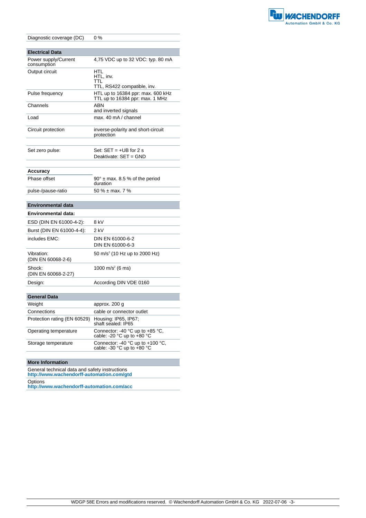

| Diagnostic coverage (DC)            | $0\%$                                                                |  |  |
|-------------------------------------|----------------------------------------------------------------------|--|--|
|                                     |                                                                      |  |  |
| <b>Electrical Data</b>              |                                                                      |  |  |
| Power supply/Current<br>consumption | 4,75 VDC up to 32 VDC: typ. 80 mA                                    |  |  |
| Output circuit                      | HTL<br>HTL, inv.<br>TTL<br>TTL, RS422 compatible, inv.               |  |  |
| Pulse frequency                     | HTL up to 16384 ppr: max. 600 kHz<br>TTL up to 16384 ppr: max. 1 MHz |  |  |
| Channels                            | ABN<br>and inverted signals                                          |  |  |
| Load                                | max. 40 mA / channel                                                 |  |  |
| Circuit protection                  | inverse-polarity and short-circuit<br>protection                     |  |  |
| Set zero pulse:                     | Set: $SET = +UB$ for 2 s<br>Deaktivate: SET = GND                    |  |  |
| Accuracy                            |                                                                      |  |  |
| Phase offset                        | $90^\circ$ ± max. 8.5 % of the period<br>duration                    |  |  |
| pulse-/pause-ratio                  | 50 % $\pm$ max, 7 %                                                  |  |  |
| <b>Environmental data</b>           |                                                                      |  |  |
| <b>Environmental data:</b>          |                                                                      |  |  |
| ESD (DIN EN 61000-4-2):             | 8 kV                                                                 |  |  |
| Burst (DIN EN 61000-4-4):           | 2 kV                                                                 |  |  |
| includes EMC:                       | DIN EN 61000-6-2<br>DIN EN 61000-6-3                                 |  |  |
| Vibration:<br>(DIN EN 60068-2-6)    | 50 m/s <sup>2</sup> (10 Hz up to 2000 Hz)                            |  |  |
| Shock:<br>(DIN EN 60068-2-27)       | 1000 m/s <sup>2</sup> (6 ms)                                         |  |  |
| Design:                             | According DIN VDE 0160                                               |  |  |
|                                     |                                                                      |  |  |
| <b>General Data</b>                 |                                                                      |  |  |
| Weight                              | approx. 200 g                                                        |  |  |
| Connoctions                         | cable or connector quilet                                            |  |  |

| <b>Weight</b>                | approx. 200 g                                                                        |
|------------------------------|--------------------------------------------------------------------------------------|
| Connections                  | cable or connector outlet                                                            |
| Protection rating (EN 60529) | Housing: IP65, IP67;<br>shaft sealed: IP65                                           |
| Operating temperature        | Connector: -40 °C up to +85 °C,<br>cable: -20 °C up to +80 °C                        |
| Storage temperature          | Connector: -40 $^{\circ}$ C up to +100 $^{\circ}$ C,<br>cable: -30 °C up to $+80$ °C |

#### **More Information**

General technical data and safety instructions **http://www.wachendorff-automation.com/gtd** Options

**http://www.wachendorff-automation.com/acc**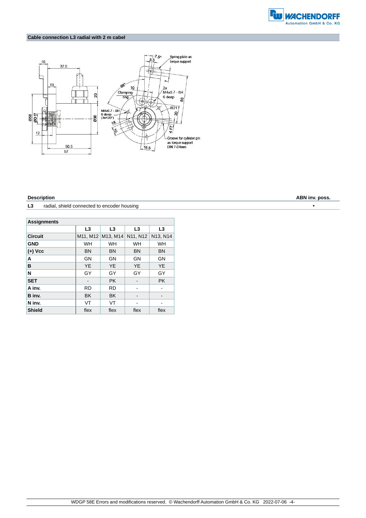

#### **Cable connection L3 radial with 2 m cabel**



L3 radial, shield connected to encoder housing **Fig. 2016 •** 

| <b>Assignments</b> |                |                |                |                |  |
|--------------------|----------------|----------------|----------------|----------------|--|
|                    | L <sub>3</sub> | L <sub>3</sub> | L <sub>3</sub> | L <sub>3</sub> |  |
| <b>Circuit</b>     | M11, M12       | M13, M14       | N11, N12       | N13, N14       |  |
| <b>GND</b>         | <b>WH</b>      | <b>WH</b>      | <b>WH</b>      | <b>WH</b>      |  |
| $(+)$ Vcc          | <b>BN</b>      | <b>BN</b>      | <b>BN</b>      | <b>BN</b>      |  |
| A                  | GN             | GN             | GN             | GN             |  |
| B                  | <b>YE</b>      | <b>YE</b>      | <b>YE</b>      | <b>YE</b>      |  |
| N                  | GY             | GY             | GY             | GY             |  |
| <b>SET</b>         |                | <b>PK</b>      |                | <b>PK</b>      |  |
| A inv.             | <b>RD</b>      | <b>RD</b>      |                |                |  |
| B inv.             | <b>BK</b>      | <b>BK</b>      |                |                |  |
| N inv.             | VT             | VT             |                |                |  |
| <b>Shield</b>      | flex           | flex           | flex           | flex           |  |

**Description ABN inv. poss.**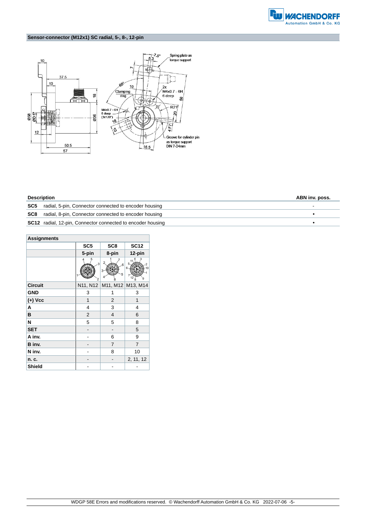

### **Sensor-connector (M12x1) SC radial, 5-, 8-, 12-pin**



| <b>Description</b> |                                                                    | ABN inv. poss. |  |
|--------------------|--------------------------------------------------------------------|----------------|--|
|                    | <b>SC5</b> radial, 5-pin, Connector connected to encoder housing   |                |  |
|                    | <b>SC8</b> radial, 8-pin, Connector connected to encoder housing   |                |  |
|                    | <b>SC12</b> radial, 12-pin, Connector connected to encoder housing |                |  |

| <b>Assignments</b> |                 |                 |                   |  |
|--------------------|-----------------|-----------------|-------------------|--|
|                    | SC <sub>5</sub> | SC <sub>8</sub> | <b>SC12</b>       |  |
|                    | 5-pin           | 8-pin           | 12-pin            |  |
|                    | 5<br>3<br>2     | 6<br>3<br>5     |                   |  |
| <b>Circuit</b>     | N11, N12        |                 | M11, M12 M13, M14 |  |
| <b>GND</b>         | 3               | 1               | 3                 |  |
| $(+)$ Vcc          | 1               | 2               | $\mathbf{1}$      |  |
| A                  | 4               | 3               | 4                 |  |
| B                  | $\overline{2}$  | 4               | 6                 |  |
| N                  | 5               | 5               | 8                 |  |
| <b>SET</b>         |                 |                 | 5                 |  |
| A inv.             |                 | 6               | 9                 |  |
| B inv.             |                 | 7               | $\overline{7}$    |  |
| N inv.             |                 | 8               | 10                |  |
| n. c.              |                 |                 | 2, 11, 12         |  |
| Shield             |                 |                 |                   |  |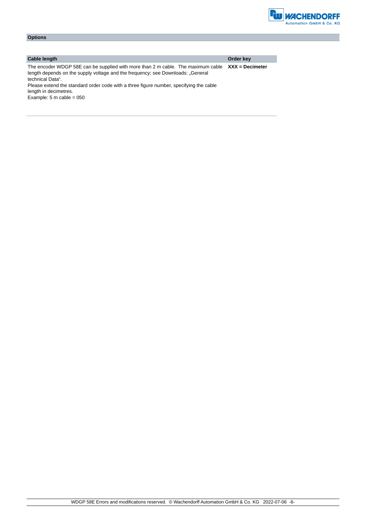

| <b>Options</b>                                                                                                                                                                          |                   |
|-----------------------------------------------------------------------------------------------------------------------------------------------------------------------------------------|-------------------|
|                                                                                                                                                                                         |                   |
|                                                                                                                                                                                         |                   |
| <b>Cable length</b>                                                                                                                                                                     | Order key         |
| The encoder WDGP 58E can be supplied with more than 2 m cable. The maximum cable<br>length depends on the supply voltage and the frequency; see Downloads: "General<br>technical Data". | $XXX =$ Decimeter |
| Please extend the standard order code with a three figure number, specifying the cable                                                                                                  |                   |

length in decimetres. Example:  $5 \text{ m}$  cable = 050

WDGP 58E Errors and modifications reserved. © Wachendorff Automation GmbH & Co. KG 2022-07-06 -6-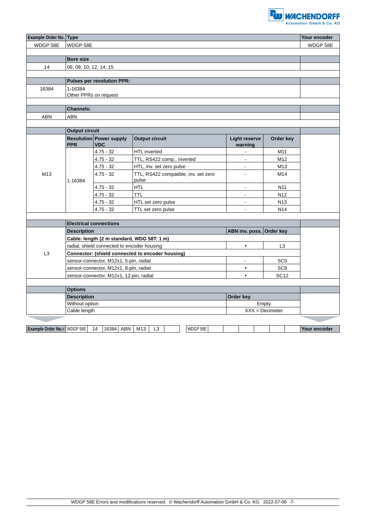

|                                    | Example Order No. Type                                              |                                              |                                                  |                                 | Your encoder    |              |
|------------------------------------|---------------------------------------------------------------------|----------------------------------------------|--------------------------------------------------|---------------------------------|-----------------|--------------|
| WDGP 58E                           | WDGP 58E                                                            |                                              |                                                  |                                 | WDGP 58E        |              |
|                                    |                                                                     |                                              |                                                  |                                 |                 |              |
|                                    | <b>Bore size</b>                                                    |                                              |                                                  |                                 |                 |              |
| 14                                 | 06; 08; 10; 12; 14; 15                                              |                                              |                                                  |                                 |                 |              |
|                                    |                                                                     |                                              |                                                  |                                 |                 |              |
|                                    |                                                                     | <b>Pulses per revolution PPR:</b>            |                                                  |                                 |                 |              |
| 16384                              | 1-16384                                                             |                                              |                                                  |                                 |                 |              |
|                                    | Other PPRs on request                                               |                                              |                                                  |                                 |                 |              |
|                                    | <b>Channels:</b>                                                    |                                              |                                                  |                                 |                 |              |
| <b>ABN</b>                         | <b>ABN</b>                                                          |                                              |                                                  |                                 |                 |              |
|                                    |                                                                     |                                              |                                                  |                                 |                 |              |
|                                    | <b>Output circuit</b>                                               |                                              |                                                  |                                 |                 |              |
|                                    | <b>PPR</b>                                                          | <b>Resolution Power supply</b><br><b>VDC</b> | <b>Output circuit</b>                            | <b>Light reserve</b><br>warning | Order key       |              |
|                                    |                                                                     | $4.75 - 32$                                  | <b>HTL</b> inverted                              |                                 | M11             |              |
|                                    |                                                                     | $4.75 - 32$                                  | TTL, RS422 comp., inverted                       | ä,                              | M <sub>12</sub> |              |
|                                    |                                                                     | $4.75 - 32$                                  | HTL, inv. set zero pulse                         | $\blacksquare$                  | M13             |              |
| M <sub>13</sub>                    | 1-16384                                                             | $4.75 - 32$                                  | TTL, RS422 compatible, inv. set zero<br>pulse    |                                 | M14             |              |
|                                    |                                                                     | $4.75 - 32$                                  | <b>HTL</b>                                       | ä,                              | N <sub>11</sub> |              |
|                                    |                                                                     | $4.75 - 32$                                  | <b>TTL</b>                                       |                                 | N <sub>12</sub> |              |
|                                    |                                                                     | $4.75 - 32$                                  | HTL set zero pulse                               | $\blacksquare$                  | N <sub>13</sub> |              |
|                                    |                                                                     | $4.75 - 32$                                  | TTL set zero pulse                               | $\blacksquare$                  | N <sub>14</sub> |              |
|                                    |                                                                     |                                              |                                                  |                                 |                 |              |
|                                    | <b>Electrical connections</b>                                       |                                              |                                                  |                                 |                 |              |
|                                    | <b>Description</b>                                                  |                                              |                                                  | ABN inv. poss. Order key        |                 |              |
|                                    |                                                                     | Cable: length (2 m standard, WDG 58T: 1 m)   |                                                  |                                 |                 |              |
|                                    | radial, shield connected to encoder housing                         |                                              |                                                  | $\bullet$                       | L <sub>3</sub>  |              |
| L <sub>3</sub>                     |                                                                     |                                              | Connector: (shield connected to encoder housing) |                                 |                 |              |
|                                    |                                                                     | sensor-connector, M12x1, 5-pin, radial       |                                                  | ä,                              | SC <sub>5</sub> |              |
|                                    | sensor-connector, M12x1, 8-pin, radial                              |                                              |                                                  | ٠                               | SC <sub>8</sub> |              |
|                                    | <b>SC12</b><br>sensor-connector, M12x1, 12-pin, radial<br>$\bullet$ |                                              |                                                  |                                 |                 |              |
|                                    |                                                                     |                                              |                                                  |                                 |                 |              |
|                                    | <b>Options</b>                                                      |                                              |                                                  |                                 |                 |              |
|                                    | <b>Description</b><br>Order key<br>Without option<br>Empty          |                                              |                                                  |                                 |                 |              |
|                                    | Cable length<br>$XXX = Decimeter$                                   |                                              |                                                  |                                 |                 |              |
|                                    |                                                                     |                                              |                                                  |                                 |                 |              |
| <b>Example Order No.= WDGP 58E</b> |                                                                     | 14<br>16384 ABN                              | WDGP 58E<br>M13<br>L <sub>3</sub>                |                                 |                 | Your encoder |